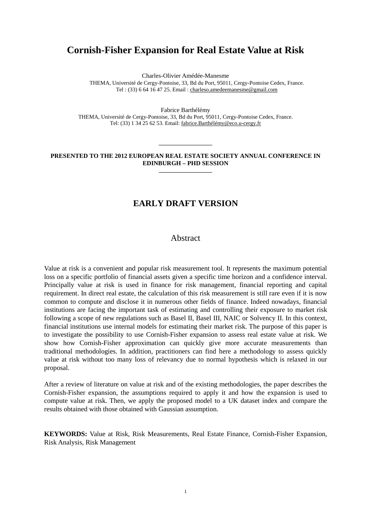# **Cornish-Fisher Expansion for Real Estate Value at Risk**

Charles-Olivier Amédée-Manesme

THEMA, Université de Cergy-Pontoise, 33, Bd du Port, 95011, Cergy-Pontoise Cedex, France. Tel : (33) 6 64 16 47 25. Email : charleso.amedeemanesme@gmail.com

Fabrice Barthélémy THEMA, Université de Cergy-Pontoise, 33, Bd du Port, 95011, Cergy-Pontoise Cedex, France. Tel: (33) 1 34 25 62 53. Email: fabrice.Barthélémy@eco.u-cergy.fr

**PRESENTED TO THE 2012 EUROPEAN REAL ESTATE SOCIETY ANNUAL CONFERENCE IN EDINBURGH – PHD SESSION \_\_\_\_\_\_\_\_\_\_\_\_\_\_\_\_\_\_\_** 

**\_\_\_\_\_\_\_\_\_\_\_\_\_\_\_\_\_\_\_** 

# **EARLY DRAFT VERSION**

## Abstract

Value at risk is a convenient and popular risk measurement tool. It represents the maximum potential loss on a specific portfolio of financial assets given a specific time horizon and a confidence interval. Principally value at risk is used in finance for risk management, financial reporting and capital requirement. In direct real estate, the calculation of this risk measurement is still rare even if it is now common to compute and disclose it in numerous other fields of finance. Indeed nowadays, financial institutions are facing the important task of estimating and controlling their exposure to market risk following a scope of new regulations such as Basel II, Basel III, NAIC or Solvency II. In this context, financial institutions use internal models for estimating their market risk. The purpose of this paper is to investigate the possibility to use Cornish-Fisher expansion to assess real estate value at risk. We show how Cornish-Fisher approximation can quickly give more accurate measurements than traditional methodologies. In addition, practitioners can find here a methodology to assess quickly value at risk without too many loss of relevancy due to normal hypothesis which is relaxed in our proposal.

After a review of literature on value at risk and of the existing methodologies, the paper describes the Cornish-Fisher expansion, the assumptions required to apply it and how the expansion is used to compute value at risk. Then, we apply the proposed model to a UK dataset index and compare the results obtained with those obtained with Gaussian assumption.

**KEYWORDS:** Value at Risk, Risk Measurements, Real Estate Finance, Cornish-Fisher Expansion, Risk Analysis, Risk Management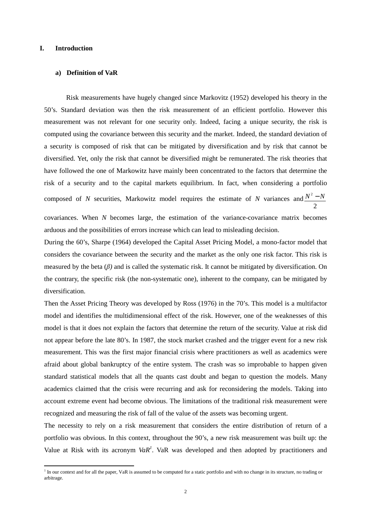## **I. Introduction**

l

#### **a) Definition of VaR**

Risk measurements have hugely changed since Markovitz (1952) developed his theory in the 50's. Standard deviation was then the risk measurement of an efficient portfolio. However this measurement was not relevant for one security only. Indeed, facing a unique security, the risk is computed using the covariance between this security and the market. Indeed, the standard deviation of a security is composed of risk that can be mitigated by diversification and by risk that cannot be diversified. Yet, only the risk that cannot be diversified might be remunerated. The risk theories that have followed the one of Markowitz have mainly been concentrated to the factors that determine the risk of a security and to the capital markets equilibrium. In fact, when considering a portfolio composed of *N* securities, Markowitz model requires the estimate of *N* variances and  $\frac{N^2}{N}$ 2  $N^2 - N$ 

covariances. When *N* becomes large, the estimation of the variance-covariance matrix becomes arduous and the possibilities of errors increase which can lead to misleading decision.

During the 60's, Sharpe (1964) developed the Capital Asset Pricing Model, a mono-factor model that considers the covariance between the security and the market as the only one risk factor. This risk is measured by the beta  $(\beta)$  and is called the systematic risk. It cannot be mitigated by diversification. On the contrary, the specific risk (the non-systematic one), inherent to the company, can be mitigated by diversification.

Then the Asset Pricing Theory was developed by Ross (1976) in the 70's. This model is a multifactor model and identifies the multidimensional effect of the risk. However, one of the weaknesses of this model is that it does not explain the factors that determine the return of the security. Value at risk did not appear before the late 80's. In 1987, the stock market crashed and the trigger event for a new risk measurement. This was the first major financial crisis where practitioners as well as academics were afraid about global bankruptcy of the entire system. The crash was so improbable to happen given standard statistical models that all the quants cast doubt and began to question the models. Many academics claimed that the crisis were recurring and ask for reconsidering the models. Taking into account extreme event had become obvious. The limitations of the traditional risk measurement were recognized and measuring the risk of fall of the value of the assets was becoming urgent.

The necessity to rely on a risk measurement that considers the entire distribution of return of a portfolio was obvious. In this context, throughout the 90's, a new risk measurement was built up: the Value at Risk with its acronym VaR<sup>1</sup>. VaR was developed and then adopted by practitioners and

<sup>&</sup>lt;sup>1</sup> In our context and for all the paper, VaR is assumed to be computed for a static portfolio and with no change in its structure, no trading or arbitrage.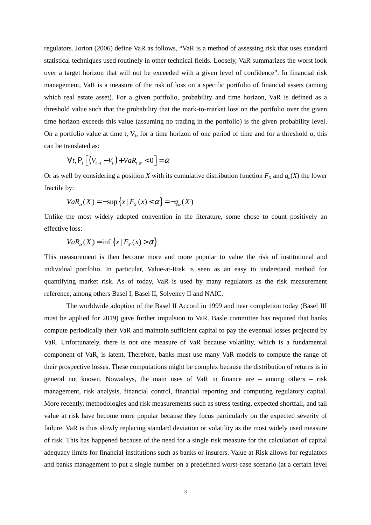regulators. Jorion (2006) define VaR as follows, "VaR is a method of assessing risk that uses standard statistical techniques used routinely in other technical fields. Loosely, VaR summarizes the worst look over a target horizon that will not be exceeded with a given level of confidence". In financial risk management, VaR is a measure of the risk of loss on a specific portfolio of financial assets (among which real estate asset). For a given portfolio, probability and time horizon, VaR is defined as a threshold value such that the probability that the mark-to-market loss on the portfolio over the given time horizon exceeds this value (assuming no trading in the portfolio) is the given probability level. On a portfolio value at time t,  $V_t$ , for a time horizon of one period of time and for a threshold  $\alpha$ , this can be translated as:

$$
\forall t, \mathbf{P}_t \left[ \left( V_{t+1} - V_t \right) + VaR_{t,\alpha} < 0 \right] = \alpha
$$

Or as well by considering a position *X* with its cumulative distribution function  $F_X$  and  $q_a(X)$  the lower fractile by:

$$
VaR_{\alpha}(X) = -\sup\{x \mid F_X(x) < \alpha\} = -q_{\alpha}(X)
$$

Unlike the most widely adopted convention in the literature, some chose to count positively an effective loss:

$$
VaR_{\alpha}(X) = \inf \{ x \mid F_X(x) > \alpha \}
$$

This measurement is then become more and more popular to value the risk of institutional and individual portfolio. In particular, Value-at-Risk is seen as an easy to understand method for quantifying market risk. As of today, VaR is used by many regulators as the risk measurement reference, among others Basel I, Basel II, Solvency II and NAIC.

The worldwide adoption of the Basel II Accord in 1999 and near completion today (Basel III must be applied for 2019) gave further impulsion to VaR. Basle committee has required that banks compute periodically their VaR and maintain sufficient capital to pay the eventual losses projected by VaR. Unfortunately, there is not one measure of VaR because volatility, which is a fundamental component of VaR, is latent. Therefore, banks must use many VaR models to compute the range of their prospective losses. These computations might be complex because the distribution of returns is in general not known. Nowadays, the main uses of VaR in finance are – among others – risk management, risk analysis, financial control, financial reporting and computing regulatory capital. More recently, methodologies and risk measurements such as stress testing, expected shortfall, and tail value at risk have become more popular because they focus particularly on the expected severity of failure. VaR is thus slowly replacing standard deviation or volatility as the most widely used measure of risk. This has happened because of the need for a single risk measure for the calculation of capital adequacy limits for financial institutions such as banks or insurers. Value at Risk allows for regulators and banks management to put a single number on a predefined worst-case scenario (at a certain level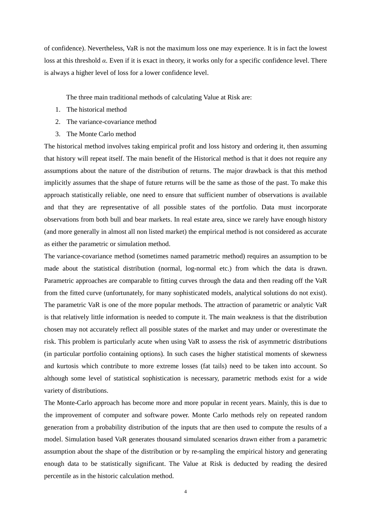of confidence). Nevertheless, VaR is not the maximum loss one may experience. It is in fact the lowest loss at this threshold *α*. Even if it is exact in theory, it works only for a specific confidence level. There is always a higher level of loss for a lower confidence level.

The three main traditional methods of calculating Value at Risk are:

- 1. The historical method
- 2. The variance-covariance method
- 3. The Monte Carlo method

The historical method involves taking empirical profit and loss history and ordering it, then assuming that history will repeat itself. The main benefit of the Historical method is that it does not require any assumptions about the nature of the distribution of returns. The major drawback is that this method implicitly assumes that the shape of future returns will be the same as those of the past. To make this approach statistically reliable, one need to ensure that sufficient number of observations is available and that they are representative of all possible states of the portfolio. Data must incorporate observations from both bull and bear markets. In real estate area, since we rarely have enough history (and more generally in almost all non listed market) the empirical method is not considered as accurate as either the parametric or simulation method.

The variance-covariance method (sometimes named parametric method) requires an assumption to be made about the statistical distribution (normal, log-normal etc.) from which the data is drawn. Parametric approaches are comparable to fitting curves through the data and then reading off the VaR from the fitted curve (unfortunately, for many sophisticated models, analytical solutions do not exist). The parametric VaR is one of the more popular methods. The attraction of parametric or analytic VaR is that relatively little information is needed to compute it. The main weakness is that the distribution chosen may not accurately reflect all possible states of the market and may under or overestimate the risk. This problem is particularly acute when using VaR to assess the risk of asymmetric distributions (in particular portfolio containing options). In such cases the higher statistical moments of skewness and kurtosis which contribute to more extreme losses (fat tails) need to be taken into account. So although some level of statistical sophistication is necessary, parametric methods exist for a wide variety of distributions.

The Monte-Carlo approach has become more and more popular in recent years. Mainly, this is due to the improvement of computer and software power. Monte Carlo methods rely on repeated random generation from a probability distribution of the inputs that are then used to compute the results of a model. Simulation based VaR generates thousand simulated scenarios drawn either from a parametric assumption about the shape of the distribution or by re-sampling the empirical history and generating enough data to be statistically significant. The Value at Risk is deducted by reading the desired percentile as in the historic calculation method.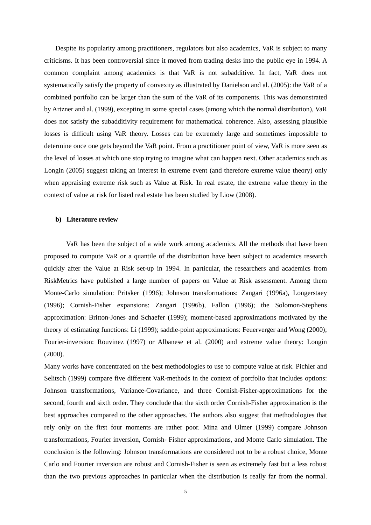Despite its popularity among practitioners, regulators but also academics, VaR is subject to many criticisms. It has been controversial since it moved from trading desks into the public eye in 1994. A common complaint among academics is that VaR is not subadditive. In fact, VaR does not systematically satisfy the property of convexity as illustrated by Danielson and al. (2005): the VaR of a combined portfolio can be larger than the sum of the VaR of its components. This was demonstrated by Artzner and al. (1999), excepting in some special cases (among which the normal distribution), VaR does not satisfy the subadditivity requirement for mathematical coherence. Also, assessing plausible losses is difficult using VaR theory. Losses can be extremely large and sometimes impossible to determine once one gets beyond the VaR point. From a practitioner point of view, VaR is more seen as the level of losses at which one stop trying to imagine what can happen next. Other academics such as Longin (2005) suggest taking an interest in extreme event (and therefore extreme value theory) only when appraising extreme risk such as Value at Risk. In real estate, the extreme value theory in the context of value at risk for listed real estate has been studied by Liow (2008).

#### **b) Literature review**

VaR has been the subject of a wide work among academics. All the methods that have been proposed to compute VaR or a quantile of the distribution have been subject to academics research quickly after the Value at Risk set-up in 1994. In particular, the researchers and academics from RiskMetrics have published a large number of papers on Value at Risk assessment. Among them Monte-Carlo simulation: Pritsker (1996); Johnson transformations: Zangari (1996a), Longerstaey (1996); Cornish-Fisher expansions: Zangari (1996b), Fallon (1996); the Solomon-Stephens approximation: Britton-Jones and Schaefer (1999); moment-based approximations motivated by the theory of estimating functions: Li (1999); saddle-point approximations: Feuerverger and Wong (2000); Fourier-inversion: Rouvinez (1997) or Albanese et al. (2000) and extreme value theory: Longin (2000).

Many works have concentrated on the best methodologies to use to compute value at risk. Pichler and Selitsch (1999) compare five different VaR-methods in the context of portfolio that includes options: Johnson transformations, Variance-Covariance, and three Cornish-Fisher-approximations for the second, fourth and sixth order. They conclude that the sixth order Cornish-Fisher approximation is the best approaches compared to the other approaches. The authors also suggest that methodologies that rely only on the first four moments are rather poor. Mina and Ulmer (1999) compare Johnson transformations, Fourier inversion, Cornish- Fisher approximations, and Monte Carlo simulation. The conclusion is the following: Johnson transformations are considered not to be a robust choice, Monte Carlo and Fourier inversion are robust and Cornish-Fisher is seen as extremely fast but a less robust than the two previous approaches in particular when the distribution is really far from the normal.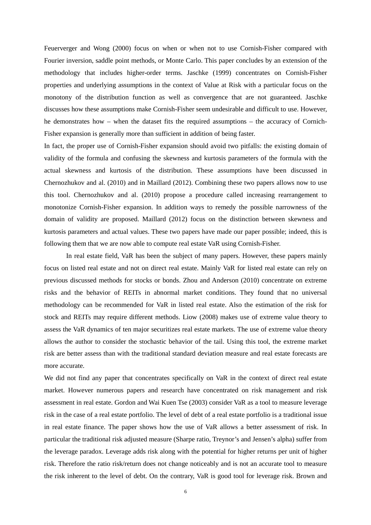Feuerverger and Wong (2000) focus on when or when not to use Cornish-Fisher compared with Fourier inversion, saddle point methods, or Monte Carlo. This paper concludes by an extension of the methodology that includes higher-order terms. Jaschke (1999) concentrates on Cornish-Fisher properties and underlying assumptions in the context of Value at Risk with a particular focus on the monotony of the distribution function as well as convergence that are not guaranteed. Jaschke discusses how these assumptions make Cornish-Fisher seem undesirable and difficult to use. However, he demonstrates how – when the dataset fits the required assumptions – the accuracy of Cornich-Fisher expansion is generally more than sufficient in addition of being faster.

In fact, the proper use of Cornish-Fisher expansion should avoid two pitfalls: the existing domain of validity of the formula and confusing the skewness and kurtosis parameters of the formula with the actual skewness and kurtosis of the distribution. These assumptions have been discussed in Chernozhukov and al. (2010) and in Maillard (2012). Combining these two papers allows now to use this tool. Chernozhukov and al. (2010) propose a procedure called increasing rearrangement to monotonize Cornish-Fisher expansion. In addition ways to remedy the possible narrowness of the domain of validity are proposed. Maillard (2012) focus on the distinction between skewness and kurtosis parameters and actual values. These two papers have made our paper possible; indeed, this is following them that we are now able to compute real estate VaR using Cornish-Fisher.

In real estate field, VaR has been the subject of many papers. However, these papers mainly focus on listed real estate and not on direct real estate. Mainly VaR for listed real estate can rely on previous discussed methods for stocks or bonds. Zhou and Anderson (2010) concentrate on extreme risks and the behavior of REITs in abnormal market conditions. They found that no universal methodology can be recommended for VaR in listed real estate. Also the estimation of the risk for stock and REITs may require different methods. Liow (2008) makes use of extreme value theory to assess the VaR dynamics of ten major securitizes real estate markets. The use of extreme value theory allows the author to consider the stochastic behavior of the tail. Using this tool, the extreme market risk are better assess than with the traditional standard deviation measure and real estate forecasts are more accurate.

We did not find any paper that concentrates specifically on VaR in the context of direct real estate market. However numerous papers and research have concentrated on risk management and risk assessment in real estate. Gordon and Wai Kuen Tse (2003) consider VaR as a tool to measure leverage risk in the case of a real estate portfolio. The level of debt of a real estate portfolio is a traditional issue in real estate finance. The paper shows how the use of VaR allows a better assessment of risk. In particular the traditional risk adjusted measure (Sharpe ratio, Treynor's and Jensen's alpha) suffer from the leverage paradox. Leverage adds risk along with the potential for higher returns per unit of higher risk. Therefore the ratio risk/return does not change noticeably and is not an accurate tool to measure the risk inherent to the level of debt. On the contrary, VaR is good tool for leverage risk. Brown and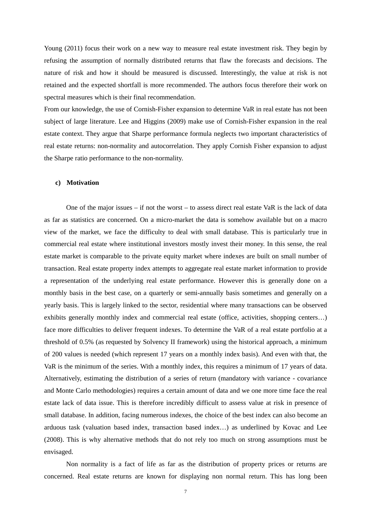Young (2011) focus their work on a new way to measure real estate investment risk. They begin by refusing the assumption of normally distributed returns that flaw the forecasts and decisions. The nature of risk and how it should be measured is discussed. Interestingly, the value at risk is not retained and the expected shortfall is more recommended. The authors focus therefore their work on spectral measures which is their final recommendation.

From our knowledge, the use of Cornish-Fisher expansion to determine VaR in real estate has not been subject of large literature. Lee and Higgins (2009) make use of Cornish-Fisher expansion in the real estate context. They argue that Sharpe performance formula neglects two important characteristics of real estate returns: non-normality and autocorrelation. They apply Cornish Fisher expansion to adjust the Sharpe ratio performance to the non-normality.

## **c) Motivation**

One of the major issues – if not the worst – to assess direct real estate VaR is the lack of data as far as statistics are concerned. On a micro-market the data is somehow available but on a macro view of the market, we face the difficulty to deal with small database. This is particularly true in commercial real estate where institutional investors mostly invest their money. In this sense, the real estate market is comparable to the private equity market where indexes are built on small number of transaction. Real estate property index attempts to aggregate real estate market information to provide a representation of the underlying real estate performance. However this is generally done on a monthly basis in the best case, on a quarterly or semi-annually basis sometimes and generally on a yearly basis. This is largely linked to the sector, residential where many transactions can be observed exhibits generally monthly index and commercial real estate (office, activities, shopping centers...) face more difficulties to deliver frequent indexes. To determine the VaR of a real estate portfolio at a threshold of 0.5% (as requested by Solvency II framework) using the historical approach, a minimum of 200 values is needed (which represent 17 years on a monthly index basis). And even with that, the VaR is the minimum of the series. With a monthly index, this requires a minimum of 17 years of data. Alternatively, estimating the distribution of a series of return (mandatory with variance - covariance and Monte Carlo methodologies) requires a certain amount of data and we one more time face the real estate lack of data issue. This is therefore incredibly difficult to assess value at risk in presence of small database. In addition, facing numerous indexes, the choice of the best index can also become an arduous task (valuation based index, transaction based index…) as underlined by Kovac and Lee (2008). This is why alternative methods that do not rely too much on strong assumptions must be envisaged.

Non normality is a fact of life as far as the distribution of property prices or returns are concerned. Real estate returns are known for displaying non normal return. This has long been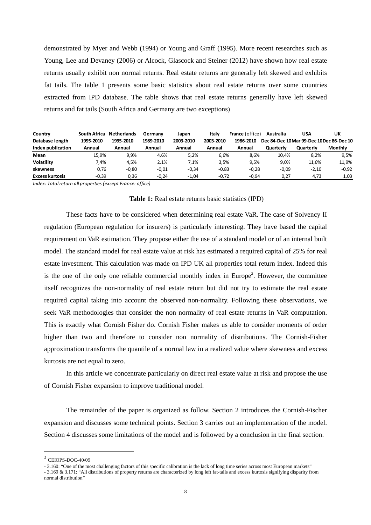demonstrated by Myer and Webb (1994) or Young and Graff (1995). More recent researches such as Young, Lee and Devaney (2006) or Alcock, Glascock and Steiner (2012) have shown how real estate returns usually exhibit non normal returns. Real estate returns are generally left skewed and exhibits fat tails. The table 1 presents some basic statistics about real estate returns over some countries extracted from IPD database. The table shows that real estate returns generally have left skewed returns and fat tails (South Africa and Germany are two exceptions)

| Country           | South Africa | <b>Netherlands</b> | Germany   | Japan     | Italv     | France (office) | Australia | <b>USA</b>                              | UK      |
|-------------------|--------------|--------------------|-----------|-----------|-----------|-----------------|-----------|-----------------------------------------|---------|
| Database length   | 1995-2010    | 1995-2010          | 1989-2010 | 2003-2010 | 2003-2010 | 1986-2010       |           | Dec 84-Dec 10Mar 99-Dec 10Dec 86-Dec 10 |         |
| Index publication | Annual       | Annual             | Annual    | Annual    | Annual    | Annual          | Quarterly | Quarterly                               | Monthly |
| Mean              | 15.9%        | 9,9%               | 4,6%      | 5,2%      | 6,6%      | 8,6%            | 10.4%     | 8,2%                                    | 9,5%    |
| Volatility        | 7.4%         | 4,5%               | 2,1%      | 7.1%      | 3,5%      | 9.5%            | 9,0%      | 11,6%                                   | 11,9%   |
| skewness          | 0.76         | $-0,80$            | $-0.01$   | $-0,34$   | $-0.83$   | $-0.28$         | $-0.09$   | $-2,10$                                 | $-0.92$ |
| Excess kurtosis   | $-0.39$      | 0,36               | $-0.24$   | $-1.04$   | $-0.72$   | $-0.94$         | 0.27      | 4.73                                    | 1,03    |

*Index: Total return all properties (except France: office)*

#### **Table 1:** Real estate returns basic statistics (IPD)

These facts have to be considered when determining real estate VaR. The case of Solvency II regulation (European regulation for insurers) is particularly interesting. They have based the capital requirement on VaR estimation. They propose either the use of a standard model or of an internal built model. The standard model for real estate value at risk has estimated a required capital of 25% for real estate investment. This calculation was made on IPD UK all properties total return index. Indeed this is the one of the only one reliable commercial monthly index in Europe<sup>2</sup>. However, the committee itself recognizes the non-normality of real estate return but did not try to estimate the real estate required capital taking into account the observed non-normality. Following these observations, we seek VaR methodologies that consider the non normality of real estate returns in VaR computation. This is exactly what Cornish Fisher do. Cornish Fisher makes us able to consider moments of order higher than two and therefore to consider non normality of distributions. The Cornish-Fisher approximation transforms the quantile of a normal law in a realized value where skewness and excess kurtosis are not equal to zero.

In this article we concentrate particularly on direct real estate value at risk and propose the use of Cornish Fisher expansion to improve traditional model.

The remainder of the paper is organized as follow. Section 2 introduces the Cornish-Fischer expansion and discusses some technical points. Section 3 carries out an implementation of the model. Section 4 discusses some limitations of the model and is followed by a conclusion in the final section.

l

- 3.169 & 3.171: "All distributions of property returns are characterized by long left fat-tails and excess kurtosis signifying disparity from normal distribution"

<sup>2</sup> CEIOPS-DOC-40/09

<sup>- 3.160: &</sup>quot;One of the most challenging factors of this specific calibration is the lack of long time series across most European markets"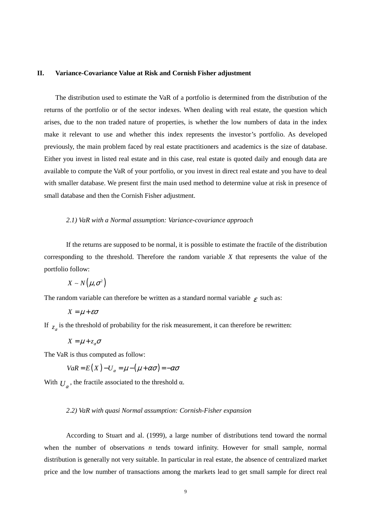### **II. Variance-Covariance Value at Risk and Cornish Fisher adjustment**

The distribution used to estimate the VaR of a portfolio is determined from the distribution of the returns of the portfolio or of the sector indexes. When dealing with real estate, the question which arises, due to the non traded nature of properties, is whether the low numbers of data in the index make it relevant to use and whether this index represents the investor's portfolio. As developed previously, the main problem faced by real estate practitioners and academics is the size of database. Either you invest in listed real estate and in this case, real estate is quoted daily and enough data are available to compute the VaR of your portfolio, or you invest in direct real estate and you have to deal with smaller database. We present first the main used method to determine value at risk in presence of small database and then the Cornish Fisher adjustment.

#### *2.1) VaR with a Normal assumption: Variance-covariance approach*

If the returns are supposed to be normal, it is possible to estimate the fractile of the distribution corresponding to the threshold. Therefore the random variable *X* that represents the value of the portfolio follow:

$$
X \sim N(\mu, \sigma^2)
$$

The random variable can therefore be written as a standard normal variable  $\epsilon$  such as:

$$
X = \mu + \varepsilon \sigma
$$

If  $z_\alpha$  is the threshold of probability for the risk measurement, it can therefore be rewritten:

$$
X = \mu + z_{\alpha}\sigma
$$

The VaR is thus computed as follow:

$$
VaR = E(X) - U_{\alpha} = \mu - (\mu + \alpha \sigma) = -\alpha \sigma
$$

With  $U_{\alpha}$ , the fractile associated to the threshold  $\alpha$ .

#### *2.2) VaR with quasi Normal assumption: Cornish-Fisher expansion*

According to Stuart and al. (1999), a large number of distributions tend toward the normal when the number of observations *n* tends toward infinity. However for small sample, normal distribution is generally not very suitable. In particular in real estate, the absence of centralized market price and the low number of transactions among the markets lead to get small sample for direct real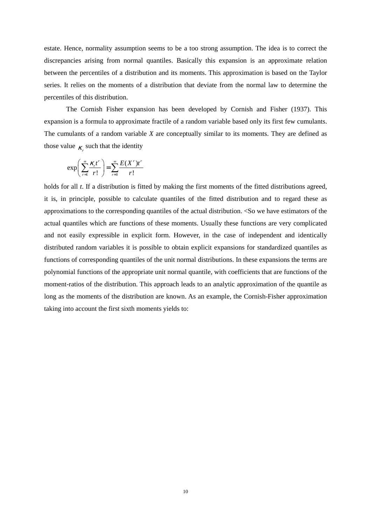estate. Hence, normality assumption seems to be a too strong assumption. The idea is to correct the discrepancies arising from normal quantiles. Basically this expansion is an approximate relation between the percentiles of a distribution and its moments. This approximation is based on the Taylor series. It relies on the moments of a distribution that deviate from the normal law to determine the percentiles of this distribution.

The Cornish Fisher expansion has been developed by Cornish and Fisher (1937). This expansion is a formula to approximate fractile of a random variable based only its first few cumulants. The cumulants of a random variable *X* are conceptually similar to its moments. They are defined as those value  $K_r$  such that the identity

$$
\exp\left(\sum_{r=1}^{\infty}\frac{K_{r}t^{r}}{r!}\right)=\sum_{r=0}^{\infty}\frac{E(X^{r})t^{r}}{r!}
$$

holds for all *t*. If a distribution is fitted by making the first moments of the fitted distributions agreed, it is, in principle, possible to calculate quantiles of the fitted distribution and to regard these as approximations to the corresponding quantiles of the actual distribution. <So we have estimators of the actual quantiles which are functions of these moments. Usually these functions are very complicated and not easily expressible in explicit form. However, in the case of independent and identically distributed random variables it is possible to obtain explicit expansions for standardized quantiles as functions of corresponding quantiles of the unit normal distributions. In these expansions the terms are polynomial functions of the appropriate unit normal quantile, with coefficients that are functions of the moment-ratios of the distribution. This approach leads to an analytic approximation of the quantile as long as the moments of the distribution are known. As an example, the Cornish-Fisher approximation taking into account the first sixth moments yields to: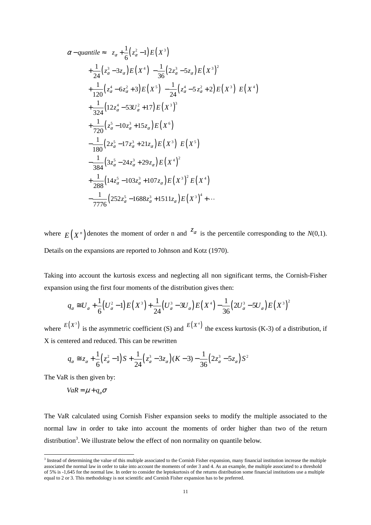$$
\alpha - quantile \approx z_{\alpha} + \frac{1}{6} (z_{\alpha}^{2} - 1) E(X^{3})
$$
  
+  $\frac{1}{24} (z_{\alpha}^{3} - 3z_{\alpha}) E(X^{4}) - \frac{1}{36} (2z_{\alpha}^{3} - 5z_{\alpha}) E(X^{3})^{2}$   
+  $\frac{1}{120} (z_{\alpha}^{4} - 6z_{\alpha}^{2} + 3) E(X^{5}) - \frac{1}{24} (z_{\alpha}^{4} - 5z_{\alpha}^{2} + 2) E(X^{3}) E(X^{4})$   
+  $\frac{1}{324} (12z_{\alpha}^{4} - 53U_{\alpha}^{2} + 17) E(X^{3})^{3}$   
+  $\frac{1}{720} (z_{\alpha}^{5} - 10z_{\alpha}^{3} + 15z_{\alpha}) E(X^{6})$   
-  $\frac{1}{180} (2z_{\alpha}^{5} - 17z_{\alpha}^{3} + 21z_{\alpha}) E(X^{3}) E(X^{5})$   
-  $\frac{1}{384} (3z_{\alpha}^{5} - 24z_{\alpha}^{3} + 29z_{\alpha}) E(X^{4})^{2}$   
+  $\frac{1}{288} (14z_{\alpha}^{5} - 103z_{\alpha}^{3} + 107z_{\alpha}) E(X^{3})^{2} E(X^{4})$   
-  $\frac{1}{7776} (252z_{\alpha}^{5} - 1688z_{\alpha}^{3} + 1511z_{\alpha}) E(X^{3})^{4} + \cdots$ 

where  $E(X^n)$  denotes the moment of order n and  $z_\alpha$  is the percentile corresponding to the *N*(0,1). Details on the expansions are reported to Johnson and Kotz (1970).

Taking into account the kurtosis excess and neglecting all non significant terms, the Cornish-Fisher expansion using the first four moments of the distribution gives then:

$$
q_{\alpha} \cong U_{\alpha} + \frac{1}{6} (U_{\alpha}^{2} - 1) E(X^{3}) + \frac{1}{24} (U_{\alpha}^{3} - 3U_{\alpha}) E(X^{4}) - \frac{1}{36} (2U_{\alpha}^{3} - 5U_{\alpha}) E(X^{3})^{2}
$$

where  $E(X^3)$  is the asymmetric coefficient (S) and  $E(X^4)$  the excess kurtosis (K-3) of a distribution, if X is centered and reduced. This can be rewritten

$$
q_{\alpha} \cong z_{\alpha} + \frac{1}{6} (z_{\alpha}^{2} - 1) S + \frac{1}{24} (z_{\alpha}^{3} - 3z_{\alpha}) (K - 3) - \frac{1}{36} (2z_{\alpha}^{3} - 5z_{\alpha}) S^{2}
$$

The VaR is then given by:

l

$$
VaR = \mu + q_{\alpha}\sigma
$$

The VaR calculated using Cornish Fisher expansion seeks to modify the multiple associated to the normal law in order to take into account the moments of order higher than two of the return distribution<sup>3</sup>. We illustrate below the effect of non normality on quantile below.

<sup>&</sup>lt;sup>3</sup> Instead of determining the value of this multiple associated to the Cornish Fisher expansion, many financial institution increase the multiple associated the normal law in order to take into account the moments of order 3 and 4. As an example, the multiple associated to a threshold of 5% is -1,645 for the normal law. In order to consider the leptokurtosis of the returns distribution some financial institutions use a multiple equal to 2 or 3. This methodology is not scientific and Cornish Fisher expansion has to be preferred.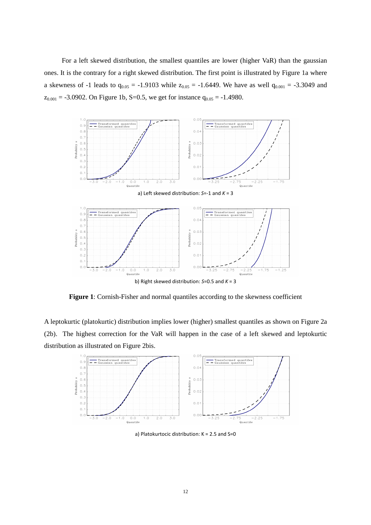For a left skewed distribution, the smallest quantiles are lower (higher VaR) than the gaussian ones. It is the contrary for a right skewed distribution. The first point is illustrated by Figure 1a where a skewness of -1 leads to  $q_{0.05} = -1.9103$  while  $z_{0.05} = -1.6449$ . We have as well  $q_{0.001} = -3.3049$  and  $z_{0.001} = -3.0902$ . On Figure 1b, S=0.5, we get for instance  $q_{0.05} = -1.4980$ .



**Figure 1**: Cornish-Fisher and normal quantiles according to the skewness coefficient

A leptokurtic (platokurtic) distribution implies lower (higher) smallest quantiles as shown on Figure 2a (2b). The highest correction for the VaR will happen in the case of a left skewed and leptokurtic distribution as illustrated on Figure 2bis.



a) Platokurtocic distribution: K = 2.5 and S=0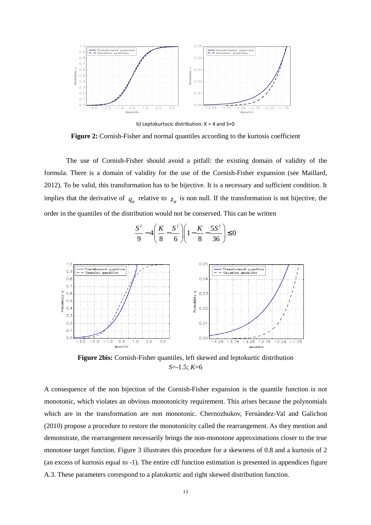

b) Leptokurtocic distribution:  $K = 4$  and  $S=0$ 

**Figure 2:** Cornish-Fisher and normal quantiles according to the kurtosis coefficient

The use of Cornish-Fisher should avoid a pitfall: the existing domain of validity of the formula. There is a domain of validity for the use of the Cornish-Fisher expansion (see Maillard, 2012). To be valid, this transformation has to be bijective. It is a necessary and sufficient condition. It implies that the derivative of  $q_\alpha$  relative to  $z_\alpha$  is non null. If the transformation is not bijective, the order in the quantiles of the distribution would not be conserved. This can be written

$$
\frac{S^2}{9} - 4\left(\frac{K}{8} - \frac{S^2}{6}\right)\left(1 - \frac{K}{8} - \frac{5S^2}{36}\right) \le 0
$$



**Figure 2bis:** Cornish-Fisher quantiles, left skewed and leptokurtic distribution *S*=-1.5; *K*=6

A consequence of the non bijection of the Cornish-Fisher expansion is the quantile function is not monotonic, which violates an obvious monotonicity requirement. This arises because the polynomials which are in the transformation are non monotonic. Chernozhukov, Fernàndez-Val and Galichon (2010) propose a procedure to restore the monotonicity called the rearrangement. As they mention and demonstrate, the rearrangement necessarily brings the non-monotone approximations closer to the true monotone target function. Figure 3 illustrates this procedure for a skewness of 0.8 and a kurtosis of 2 (an excess of kurtosis equal to -1). The entire cdf function estimation is presented in appendices figure A.3. These parameters correspond to a platokurtic and right skewed distribution function.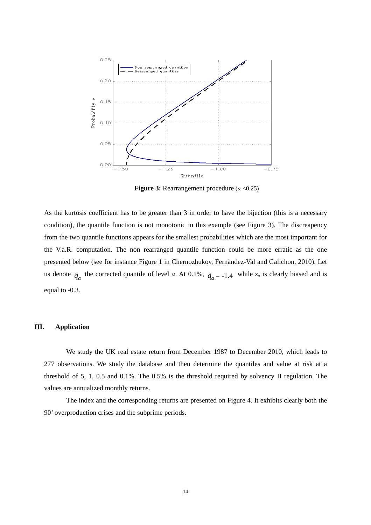

**Figure 3:** Rearrangement procedure (*α* <0.25)

As the kurtosis coefficient has to be greater than 3 in order to have the bijection (this is a necessary condition), the quantile function is not monotonic in this example (see Figure 3). The discreapency from the two quantile functions appears for the smallest probabilities which are the most important for the V.a.R. computation. The non rearranged quantile function could be more erratic as the one presented below (see for instance Figure 1 in Chernozhukov, Fernàndez-Val and Galichon, 2010). Let us denote  $\tilde{q}_\alpha$  the corrected quantile of level  $\alpha$ . At 0.1%,  $\tilde{q}_\alpha = -1.4$  while  $z_\alpha$  is clearly biased and is equal to -0.3.

## **III. Application**

We study the UK real estate return from December 1987 to December 2010, which leads to 277 observations. We study the database and then determine the quantiles and value at risk at a threshold of 5, 1, 0.5 and 0.1%. The 0.5% is the threshold required by solvency II regulation. The values are annualized monthly returns.

The index and the corresponding returns are presented on Figure 4. It exhibits clearly both the 90' overproduction crises and the subprime periods.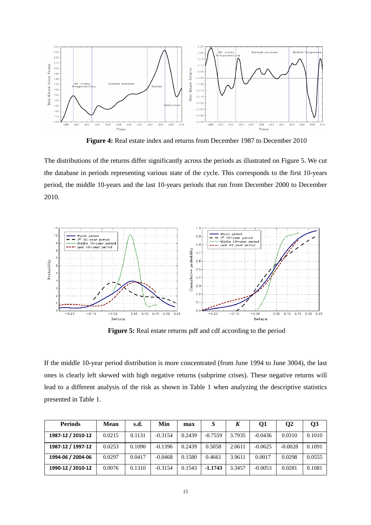

**Figure 4:** Real estate index and returns from December 1987 to December 2010

The distributions of the returns differ significantly across the periods as illustrated on Figure 5. We cut the database in periods representing various state of the cycle. This corresponds to the first 10-years period, the middle 10-years and the last 10-years periods that run from December 2000 to December 2010.



**Figure 5:** Real estate returns pdf and cdf according to the period

If the middle 10-year period distribution is more concentrated (from June 1994 to June 3004), the last ones is clearly left skewed with high negative returns (subprime crises). These negative returns will lead to a different analysis of the risk as shown in Table 1 when analyzing the descriptive statistics presented in Table 1.

| <b>Periods</b>    | Mean   | s.d.   | Min       | max    |           | K      | Q1        | O2        | <b>O3</b> |
|-------------------|--------|--------|-----------|--------|-----------|--------|-----------|-----------|-----------|
| 1987-12 / 2010-12 | 0.0215 | 0.1131 | $-0.3154$ | 0.2439 | $-0.7559$ | 3.7935 | $-0.0436$ | 0.0310    | 0.1010    |
| 1987-12 / 1997-12 | 0.0253 | 0.1090 | $-0.1396$ | 0.2439 | 0.5058    | 2.0611 | $-0.0625$ | $-0.0028$ | 0.1091    |
| 1994-06 / 2004-06 | 0.0297 | 0.0417 | $-0.0468$ | 0.1580 | 0.4661    | 3.9611 | 0.0017    | 0.0298    | 0.0555    |
| 1990-12 / 2010-12 | 0.0076 | 0.1310 | $-0.3154$ | 0.1543 | $-1.1743$ | 3.3457 | $-0.0053$ | 0.0281    | 0.1081    |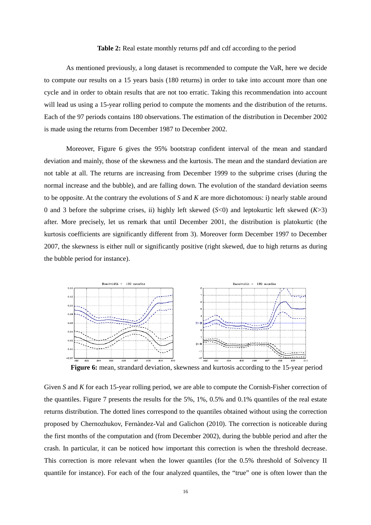#### **Table 2:** Real estate monthly returns pdf and cdf according to the period

As mentioned previously, a long dataset is recommended to compute the VaR, here we decide to compute our results on a 15 years basis (180 returns) in order to take into account more than one cycle and in order to obtain results that are not too erratic. Taking this recommendation into account will lead us using a 15-year rolling period to compute the moments and the distribution of the returns. Each of the 97 periods contains 180 observations. The estimation of the distribution in December 2002 is made using the returns from December 1987 to December 2002.

Moreover, Figure 6 gives the 95% bootstrap confident interval of the mean and standard deviation and mainly, those of the skewness and the kurtosis. The mean and the standard deviation are not table at all. The returns are increasing from December 1999 to the subprime crises (during the normal increase and the bubble), and are falling down. The evolution of the standard deviation seems to be opposite. At the contrary the evolutions of *S* and *K* are more dichotomous: i) nearly stable around 0 and 3 before the subprime crises, ii) highly left skewed (*S*<0) and leptokurtic left skewed (*K*>3) after. More precisely, let us remark that until December 2001, the distribution is platokurtic (the kurtosis coefficients are significantly different from 3). Moreover form December 1997 to December 2007, the skewness is either null or significantly positive (right skewed, due to high returns as during the bubble period for instance).



**Figure 6:** mean, strandard deviation, skewness and kurtosis according to the 15-year period

Given *S* and *K* for each 15-year rolling period, we are able to compute the Cornish-Fisher correction of the quantiles. Figure 7 presents the results for the 5%, 1%, 0.5% and 0.1% quantiles of the real estate returns distribution. The dotted lines correspond to the quantiles obtained without using the correction proposed by Chernozhukov, Fernàndez-Val and Galichon (2010). The correction is noticeable during the first months of the computation and (from December 2002), during the bubble period and after the crash. In particular, it can be noticed how important this correction is when the threshold decrease. This correction is more relevant when the lower quantiles (for the 0.5% threshold of Solvency II quantile for instance). For each of the four analyzed quantiles, the "true" one is often lower than the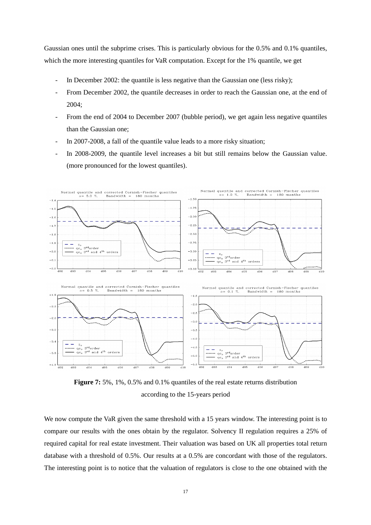Gaussian ones until the subprime crises. This is particularly obvious for the 0.5% and 0.1% quantiles, which the more interesting quantiles for VaR computation. Except for the 1% quantile, we get

- In December 2002: the quantile is less negative than the Gaussian one (less risky);
- From December 2002, the quantile decreases in order to reach the Gaussian one, at the end of 2004;
- From the end of 2004 to December 2007 (bubble period), we get again less negative quantiles than the Gaussian one;
- In 2007-2008, a fall of the quantile value leads to a more risky situation;
- In 2008-2009, the quantile level increases a bit but still remains below the Gaussian value. (more pronounced for the lowest quantiles).



**Figure 7:** 5%, 1%, 0.5% and 0.1% quantiles of the real estate returns distribution according to the 15-years period

We now compute the VaR given the same threshold with a 15 years window. The interesting point is to compare our results with the ones obtain by the regulator. Solvency II regulation requires a 25% of required capital for real estate investment. Their valuation was based on UK all properties total return database with a threshold of 0.5%. Our results at a 0.5% are concordant with those of the regulators. The interesting point is to notice that the valuation of regulators is close to the one obtained with the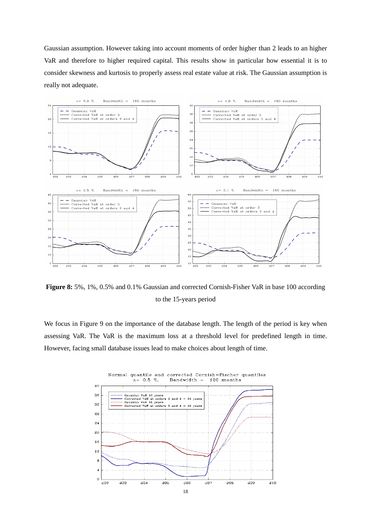Gaussian assumption. However taking into account moments of order higher than 2 leads to an higher VaR and therefore to higher required capital. This results show in particular how essential it is to consider skewness and kurtosis to properly assess real estate value at risk. The Gaussian assumption is really not adequate.



**Figure 8:** 5%, 1%, 0.5% and 0.1% Gaussian and corrected Cornish-Fisher VaR in base 100 according to the 15-years period

We focus in Figure 9 on the importance of the database length. The length of the period is key when assessing VaR. The VaR is the maximum loss at a threshold level for predefined length in time. However, facing small database issues lead to make choices about length of time.

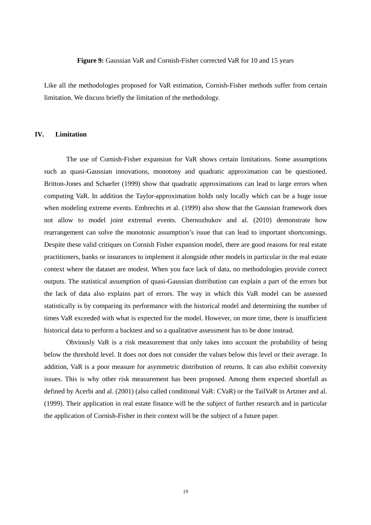#### **Figure 9:** Gaussian VaR and Cornish-Fisher corrected VaR for 10 and 15 years

Like all the methodologies proposed for VaR estimation, Cornish-Fisher methods suffer from certain limitation. We discuss briefly the limitation of the methodology.

#### **IV. Limitation**

The use of Cornish-Fisher expansion for VaR shows certain limitations. Some assumptions such as quasi-Gaussian innovations, monotony and quadratic approximation can be questioned. Britton-Jones and Schaefer (1999) show that quadratic approximations can lead to large errors when computing VaR. In addition the Taylor-approximation holds only locally which can be a huge issue when modeling extreme events. Embrechts et al. (1999) also show that the Gaussian framework does not allow to model joint extremal events. Chernozhukov and al. (2010) demonstrate how rearrangement can solve the monotonic assumption's issue that can lead to important shortcomings. Despite these valid critiques on Cornish Fisher expansion model, there are good reasons for real estate practitioners, banks or insurances to implement it alongside other models in particular in the real estate context where the dataset are modest. When you face lack of data, no methodologies provide correct outputs. The statistical assumption of quasi-Gaussian distribution can explain a part of the errors but the lack of data also explains part of errors. The way in which this VaR model can be assessed statistically is by comparing its performance with the historical model and determining the number of times VaR exceeded with what is expected for the model. However, on more time, there is insufficient historical data to perform a backtest and so a qualitative assessment has to be done instead.

Obviously VaR is a risk measurement that only takes into account the probability of being below the threshold level. It does not does not consider the values below this level or their average. In addition, VaR is a poor measure for asymmetric distribution of returns. It can also exhibit convexity issues. This is why other risk measurement has been proposed. Among them expected shortfall as defined by Acerbi and al. (2001) (also called conditional VaR: CVaR) or the TailVaR in Artzner and al. (1999). Their application in real estate finance will be the subject of further research and in particular the application of Cornish-Fisher in their context will be the subject of a future paper.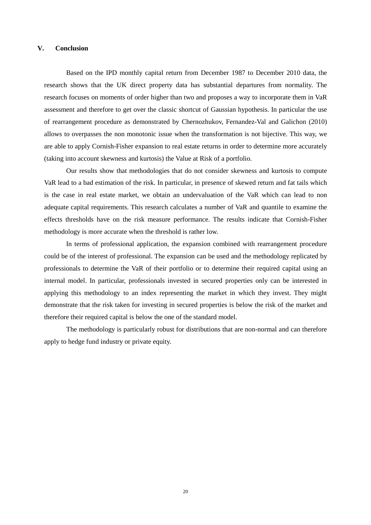### **V. Conclusion**

Based on the IPD monthly capital return from December 1987 to December 2010 data, the research shows that the UK direct property data has substantial departures from normality. The research focuses on moments of order higher than two and proposes a way to incorporate them in VaR assessment and therefore to get over the classic shortcut of Gaussian hypothesis. In particular the use of rearrangement procedure as demonstrated by Chernozhukov, Fernandez-Val and Galichon (2010) allows to overpasses the non monotonic issue when the transformation is not bijective. This way, we are able to apply Cornish-Fisher expansion to real estate returns in order to determine more accurately (taking into account skewness and kurtosis) the Value at Risk of a portfolio.

Our results show that methodologies that do not consider skewness and kurtosis to compute VaR lead to a bad estimation of the risk. In particular, in presence of skewed return and fat tails which is the case in real estate market, we obtain an undervaluation of the VaR which can lead to non adequate capital requirements. This research calculates a number of VaR and quantile to examine the effects thresholds have on the risk measure performance. The results indicate that Cornish-Fisher methodology is more accurate when the threshold is rather low.

In terms of professional application, the expansion combined with rearrangement procedure could be of the interest of professional. The expansion can be used and the methodology replicated by professionals to determine the VaR of their portfolio or to determine their required capital using an internal model. In particular, professionals invested in secured properties only can be interested in applying this methodology to an index representing the market in which they invest. They might demonstrate that the risk taken for investing in secured properties is below the risk of the market and therefore their required capital is below the one of the standard model.

The methodology is particularly robust for distributions that are non-normal and can therefore apply to hedge fund industry or private equity.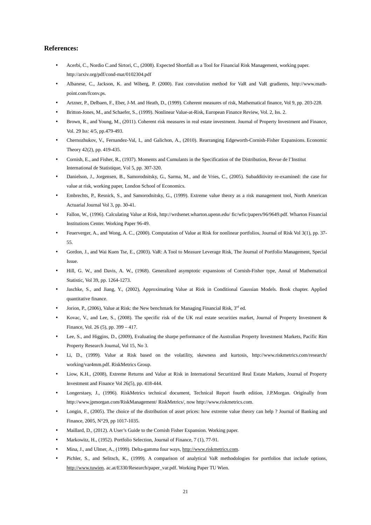#### **References:**

- Acerbi, C., Nordio C.and Sirtori, C., (2008). Expected Shortfall as a Tool for Financial Risk Management, working paper. http://arxiv.org/pdf/cond-mat/0102304.pdf
- Albanese, C., Jackson, K. and Wiberg, P. (2000). Fast convolution method for VaR and VaR gradients, http://www.mathpoint.com/fconv.ps.
- Artzner, P., Delbaen, F., Eber, J-M. and Heath, D., (1999). Coherent measures of risk, Mathematical finance, Vol 9, pp. 203-228.
- Britton-Jones, M., and Schaefer, S., (1999). Nonlinear Value-at-Risk, European Finance Review, Vol. 2, Iss. 2.
- Brown, R., and Young, M., (2011). Coherent risk measures in real estate investment. Journal of Property Investment and Finance, Vol. 29 Iss: 4/5, pp.479-493.
- Chernozhukov, V., Fernandez-Val, I., and Galichon, A., (2010). Rearranging Edgeworth-Cornish-Fisher Expansions. Economic Theory 42(2), pp. 419-435.
- Cornish, E., and Fisher, R., (1937). Moments and Cumulants in the Specification of the Distribution, Revue de l'Institut International de Statistique, Vol 5, pp. 307-320.
- Danielson, J., Jorgensen, B., Samorodnitsky, G., Sarma, M., and de Vries, C., (2005). Subadditivity re-examined: the case for value at risk, working paper, London School of Economics.
- Embrechts, P., Resnick, S., and Samorodnitsky, G., (1999). Extreme value theory as a risk management tool, North American Actuarial Journal Vol 3, pp. 30-41.
- Fallon, W., (1996). Calculating Value at Risk, http://wrdsenet.wharton.upenn.edu/ fic/wfic/papers/96/9649.pdf. Wharton Financial Institutions Center. Working Paper 96-49.
- Feuerverger, A., and Wong, A. C., (2000). Computation of Value at Risk for nonlinear portfolios, Journal of Risk Vol 3(1), pp. 37- 55.
- Gordon, J., and Wai Kuen Tse, E., (2003). VaR: A Tool to Measure Leverage Risk, The Journal of Portfolio Management, Special Issue.
- Hill, G. W., and Davis, A. W., (1968). Generalized asymptotic expansions of Cornish-Fisher type, Annal of Mathematical Statistic, Vol 39, pp. 1264-1273.
- Jaschke, S., and Jiang, Y., (2002), Approximating Value at Risk in Conditional Gaussian Models. Book chapter. Applied quantitative finance.
- Jorion, P., (2006), Value at Risk: the New benchmark for Managing Financial Risk,  $3<sup>rd</sup>$  ed.
- Kovac, V., and Lee, S., (2008). The specific risk of the UK real estate securities market, Journal of Property Investment & Finance, Vol. 26 (5), pp. 399 – 417.
- Lee, S., and Higgins, D., (2009), Evaluating the sharpe performance of the Australian Property Investment Markets, Pacific Rim Property Research Journal, Vol 15, No 3.
- Li, D., (1999). Value at Risk based on the volatility, skewness and kurtosis, http://www.riskmetrics.com/research/ working/var4mm.pdf. RiskMetrics Group.
- Liow, K.H., (2008), Extreme Returns and Value at Risk in International Securitized Real Estate Markets, Journal of Property Investment and Finance Vol 26(5), pp. 418-444.
- Longerstaey, J., (1996). RiskMetrics technical document, Technical Report fourth edition, J.P.Morgan. Originally from http://www.jpmorgan.com/RiskManagement/ RiskMetrics/, now http://www.riskmetrics.com.
- Longin, F., (2005). The choice of the distribution of asset prices: how extreme value theory can help ? Journal of Banking and Finance, 2005, N°29, pp 1017-1035.
- Maillard, D., (2012). A User's Guide to the Cornish Fisher Expansion. Working paper.
- Markowitz, H., (1952). Portfolio Selection, Journal of Finance, 7 (1), 77-91.
- Mina, J., and Ulmer, A., (1999). Delta-gamma four ways, http://www.riskmetrics.com.
- Pichler, S., and Selitsch, K., (1999). A comparison of analytical VaR methodologies for portfolios that include options, http://www.tuwien. ac.at/E330/Research/paper\_var.pdf. Working Paper TU Wien.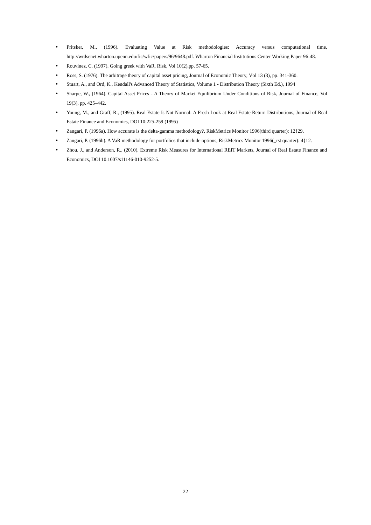- Pritsker, M., (1996). Evaluating Value at Risk methodologies: Accuracy versus computational time, http://wrdsenet.wharton.upenn.edu/fic/wfic/papers/96/9648.pdf. Wharton Financial Institutions Center Working Paper 96-48.
- Rouvinez, C. (1997). Going greek with VaR, Risk, Vol 10(2),pp. 57-65.
- Ross, S. (1976). The arbitrage theory of capital asset pricing, Journal of Economic Theory, Vol 13 (3), pp. 341-360.
- Stuart, A., and Ord, K., Kendall's Advanced Theory of Statistics, Volume 1 Distribution Theory (Sixth Ed.), 1994
- Sharpe, W., (1964). Capital Asset Prices A Theory of Market Equilibrium Under Conditions of Risk, Journal of Finance, Vol 19(3), pp. 425–442.
- Young, M., and Graff, R., (1995). Real Estate Is Not Normal: A Fresh Look at Real Estate Return Distributions, Journal of Real Estate Finance and Economics, DOI 10:225-259 (1995)
- Zangari, P. (1996a). How accurate is the delta-gamma methodology?, RiskMetrics Monitor 1996(third quarter): 12{29.
- Zangari, P. (1996b). A VaR methodology for portfolios that include options, RiskMetrics Monitor 1996(\_rst quarter): 4{12.
- Zhou, J., and Anderson, R., (2010). Extreme Risk Measures for International REIT Markets, Journal of Real Estate Finance and Economics, DOI 10.1007/s11146-010-9252-5.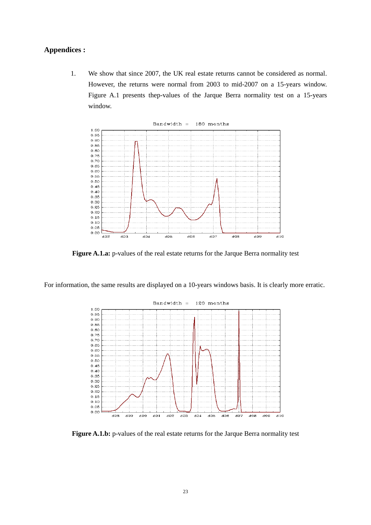## **Appendices :**

1. We show that since 2007, the UK real estate returns cannot be considered as normal. However, the returns were normal from 2003 to mid-2007 on a 15-years window. Figure A.1 presents thep-values of the Jarque Berra normality test on a 15-years window.



**Figure A.1.a:** p-values of the real estate returns for the Jarque Berra normality test

For information, the same results are displayed on a 10-years windows basis. It is clearly more erratic.



**Figure A.1.b:** p-values of the real estate returns for the Jarque Berra normality test